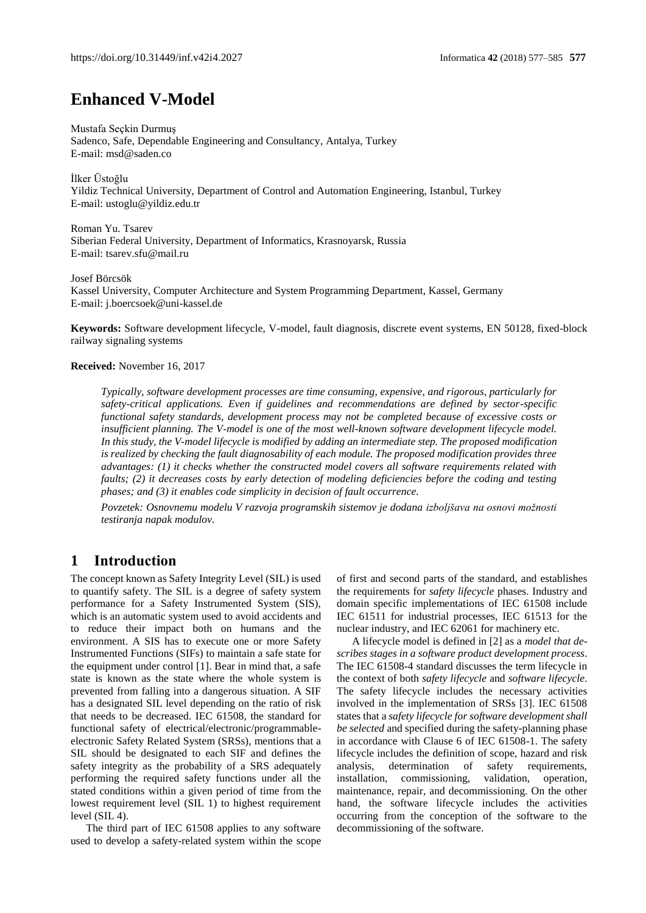# **Enhanced V-Model**

Mustafa Seçkin Durmuş Sadenco, Safe, Dependable Engineering and Consultancy, Antalya, Turkey E-mail: msd@saden.co

İlker Üstoğlu Yildiz Technical University, Department of Control and Automation Engineering, Istanbul, Turkey E-mail[: ustoglu@yildiz.edu.tr](mailto:ustoglu@yildiz.edu.tr)

Roman Yu. Tsarev Siberian Federal University, Department of Informatics, Krasnoyarsk, Russia E-mail: tsarev.sfu@mail.ru

Josef Börcsök Kassel University, Computer Architecture and System Programming Department, Kassel, Germany E-mail: j.boercsoek@uni-kassel.de

**Keywords:** Software development lifecycle, V-model, fault diagnosis, discrete event systems, EN 50128, fixed-block railway signaling systems

#### **Received:** November 16, 2017

*Typically, software development processes are time consuming, expensive, and rigorous, particularly for safety-critical applications. Even if guidelines and recommendations are defined by sector-specific functional safety standards, development process may not be completed because of excessive costs or insufficient planning. The V-model is one of the most well-known software development lifecycle model. In this study, the V-model lifecycle is modified by adding an intermediate step. The proposed modification is realized by checking the fault diagnosability of each module. The proposed modification provides three advantages: (1) it checks whether the constructed model covers all software requirements related with faults; (2) it decreases costs by early detection of modeling deficiencies before the coding and testing phases; and (3) it enables code simplicity in decision of fault occurrence.*

*Povzetek: Osnovnemu modelu V razvoja programskih sistemov je dodana izboljšava na osnovi možnosti testiranja napak modulov.*

## **1 Introduction**

The concept known as Safety Integrity Level (SIL) is used to quantify safety. The SIL is a degree of safety system performance for a Safety Instrumented System (SIS), which is an automatic system used to avoid accidents and to reduce their impact both on humans and the environment. A SIS has to execute one or more Safety Instrumented Functions (SIFs) to maintain a safe state for the equipment under control [1]. Bear in mind that, a safe state is known as the state where the whole system is prevented from falling into a dangerous situation. A SIF has a designated SIL level depending on the ratio of risk that needs to be decreased. IEC 61508, the standard for functional safety of electrical/electronic/programmableelectronic Safety Related System (SRSs), mentions that a SIL should be designated to each SIF and defines the safety integrity as the probability of a SRS adequately performing the required safety functions under all the stated conditions within a given period of time from the lowest requirement level (SIL 1) to highest requirement level (SIL 4).

The third part of IEC 61508 applies to any software used to develop a safety-related system within the scope of first and second parts of the standard, and establishes the requirements for *safety lifecycle* phases. Industry and domain specific implementations of IEC 61508 include IEC 61511 for industrial processes, IEC 61513 for the nuclear industry, and IEC 62061 for machinery etc.

A lifecycle model is defined in [2] as a *model that describes stages in a software product development process*. The IEC 61508-4 standard discusses the term lifecycle in the context of both *safety lifecycle* and *software lifecycle*. The safety lifecycle includes the necessary activities involved in the implementation of SRSs [3]. IEC 61508 states that a *safety lifecycle for software development shall be selected* and specified during the safety-planning phase in accordance with Clause 6 of IEC 61508-1. The safety lifecycle includes the definition of scope, hazard and risk analysis, determination of safety requirements, installation, commissioning, validation, operation, maintenance, repair, and decommissioning. On the other hand, the software lifecycle includes the activities occurring from the conception of the software to the decommissioning of the software.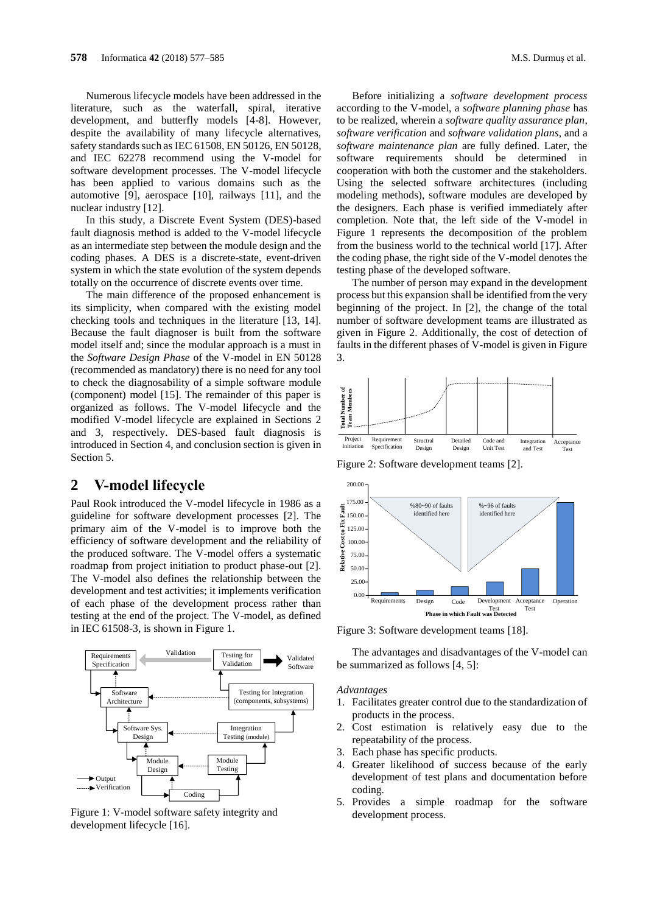Numerous lifecycle models have been addressed in the literature, such as the waterfall, spiral, iterative development, and butterfly models [4-8]. However, despite the availability of many lifecycle alternatives, safety standards such as IEC 61508, EN 50126, EN 50128, and IEC 62278 recommend using the V-model for software development processes. The V-model lifecycle has been applied to various domains such as the automotive [9], aerospace [10], railways [11], and the nuclear industry [12].

In this study, a Discrete Event System (DES)-based fault diagnosis method is added to the V-model lifecycle as an intermediate step between the module design and the coding phases. A DES is a discrete-state, event-driven system in which the state evolution of the system depends totally on the occurrence of discrete events over time.

The main difference of the proposed enhancement is its simplicity, when compared with the existing model checking tools and techniques in the literature [13, 14]. Because the fault diagnoser is built from the software model itself and; since the modular approach is a must in the *Software Design Phase* of the V-model in EN 50128 (recommended as mandatory) there is no need for any tool to check the diagnosability of a simple software module (component) model [15]. The remainder of this paper is organized as follows. The V-model lifecycle and the modified V-model lifecycle are explained in Sections 2 and 3, respectively. DES-based fault diagnosis is introduced in Section 4, and conclusion section is given in Section 5.

### **2 V-model lifecycle**

Paul Rook introduced the V-model lifecycle in 1986 as a guideline for software development processes [2]. The primary aim of the V-model is to improve both the efficiency of software development and the reliability of the produced software. The V-model offers a systematic roadmap from project initiation to product phase-out [2]. The V-model also defines the relationship between the development and test activities; it implements verification of each phase of the development process rather than testing at the end of the project. The V-model, as defined in IEC 61508-3, is shown in Figure 1.



Figure 1: V-model software safety integrity and development lifecycle [16].

Before initializing a *software development process* according to the V-model, a *software planning phase* has to be realized, wherein a *software quality assurance plan*, *software verification* and *software validation plans*, and a *software maintenance plan* are fully defined. Later, the software requirements should be determined in cooperation with both the customer and the stakeholders. Using the selected software architectures (including modeling methods), software modules are developed by the designers. Each phase is verified immediately after completion. Note that, the left side of the V-model in Figure 1 represents the decomposition of the problem from the business world to the technical world [17]. After the coding phase, the right side of the V-model denotes the testing phase of the developed software.

The number of person may expand in the development process but this expansion shall be identified from the very beginning of the project. In [2], the change of the total number of software development teams are illustrated as given in Figure 2. Additionally, the cost of detection of faults in the different phases of V-model is given in Figure 3.



Figure 2: Software development teams [2].



Figure 3: Software development teams [18].

The advantages and disadvantages of the V-model can be summarized as follows [4, 5]:

*Advantages*

- 1. Facilitates greater control due to the standardization of products in the process.
- 2. Cost estimation is relatively easy due to the repeatability of the process.
- 3. Each phase has specific products.
- 4. Greater likelihood of success because of the early development of test plans and documentation before coding.
- 5. Provides a simple roadmap for the software development process.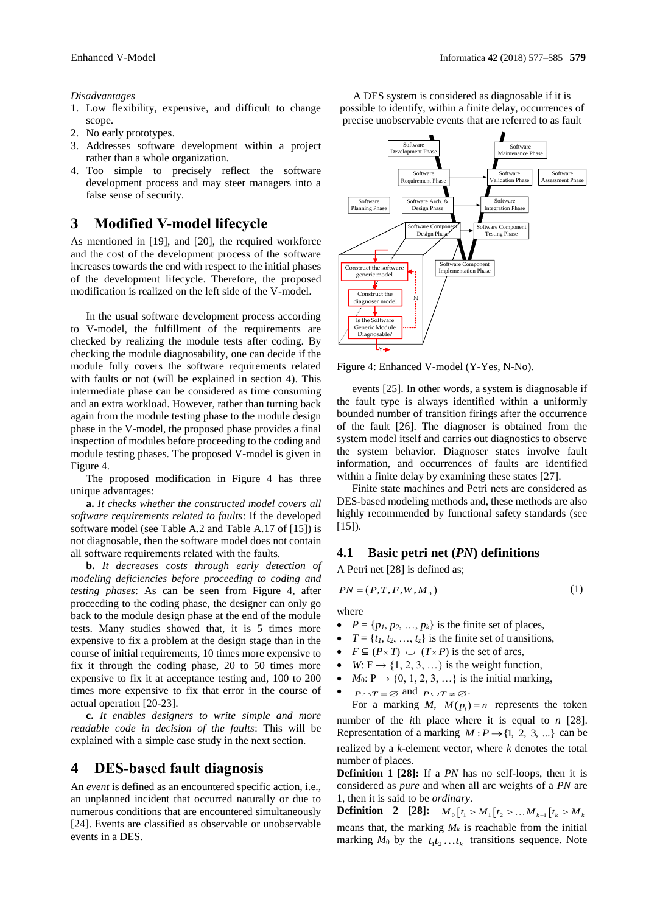#### *Disadvantages*

- 1. Low flexibility, expensive, and difficult to change scope.
- 2. No early prototypes.
- 3. Addresses software development within a project rather than a whole organization.
- 4. Too simple to precisely reflect the software development process and may steer managers into a false sense of security.

## **3 Modified V-model lifecycle**

As mentioned in [19], and [20], the required workforce and the cost of the development process of the software increases towards the end with respect to the initial phases of the development lifecycle. Therefore, the proposed modification is realized on the left side of the V-model.

In the usual software development process according to V-model, the fulfillment of the requirements are checked by realizing the module tests after coding. By checking the module diagnosability, one can decide if the module fully covers the software requirements related with faults or not (will be explained in section 4). This intermediate phase can be considered as time consuming and an extra workload. However, rather than turning back again from the module testing phase to the module design phase in the V-model, the proposed phase provides a final inspection of modules before proceeding to the coding and module testing phases. The proposed V-model is given in Figure 4.

The proposed modification in Figure 4 has three unique advantages:

**a.** *It checks whether the constructed model covers all software requirements related to faults*: If the developed software model (see Table A.2 and Table A.17 of [15]) is not diagnosable, then the software model does not contain all software requirements related with the faults.

**b.** *It decreases costs through early detection of modeling deficiencies before proceeding to coding and testing phases*: As can be seen from Figure 4, after proceeding to the coding phase, the designer can only go back to the module design phase at the end of the module tests. Many studies showed that, it is 5 times more expensive to fix a problem at the design stage than in the course of initial requirements, 10 times more expensive to fix it through the coding phase, 20 to 50 times more expensive to fix it at acceptance testing and, 100 to 200 times more expensive to fix that error in the course of actual operation [20-23].

**c.** *It enables designers to write simple and more readable code in decision of the faults*: This will be explained with a simple case study in the next section.

## **4 DES-based fault diagnosis**

An *event* is defined as an encountered specific action, i.e., an unplanned incident that occurred naturally or due to numerous conditions that are encountered simultaneously [24]. Events are classified as observable or unobservable events in a DES.



Figure 4: Enhanced V-model (Y-Yes, N-No).

events [25]. In other words, a system is diagnosable if the fault type is always identified within a uniformly bounded number of transition firings after the occurrence of the fault [26]. The diagnoser is obtained from the system model itself and carries out diagnostics to observe the system behavior. Diagnoser states involve fault information, and occurrences of faults are identified within a finite delay by examining these states [27].

Finite state machines and Petri nets are considered as DES-based modeling methods and, these methods are also highly recommended by functional safety standards (see  $[15]$ ).

#### **4.1 Basic petri net (***PN***) definitions**

A Petri net [28] is defined as;

$$
PN = (P, T, F, W, M_0) \tag{1}
$$

where

- $P = \{p_1, p_2, \dots, p_k\}$  is the finite set of places,
- $T = \{t_1, t_2, \ldots, t_z\}$  is the finite set of transitions,
- $F \subseteq (P \times T) \cup (T \times P)$  is the set of arcs,
- *W*:  $F \rightarrow \{1, 2, 3, ...\}$  is the weight function,
- $M_0: P \rightarrow \{0, 1, 2, 3, \ldots\}$  is the initial marking,
- $P \cap T = \emptyset$  and  $P \cup T \neq \emptyset$ .

For a marking *M*,  $M(p_i) = n$  represents the token number of the *i*th place where it is equal to *n* [28]. Representation of a marking  $M: P \rightarrow \{1, 2, 3, ...\}$  can be realized by a *k*-element vector, where *k* denotes the total number of places.

**Definition 1 [28]:** If a *PN* has no self-loops, then it is considered as *pure* and when all arc weights of a *PN* are 1, then it is said to be *ordinary*.

**Definition** 2 [28]:  $M_0[t_1 > M_1[t_2 > ... M_{k-1}[t_k > M_k])$ means that, the marking  $M_k$  is reachable from the initial marking  $M_0$  by the  $t_1 t_2 \ldots t_k$  transitions sequence. Note

A DES system is considered as diagnosable if it is possible to identify, within a finite delay, occurrences of precise unobservable events that are referred to as fault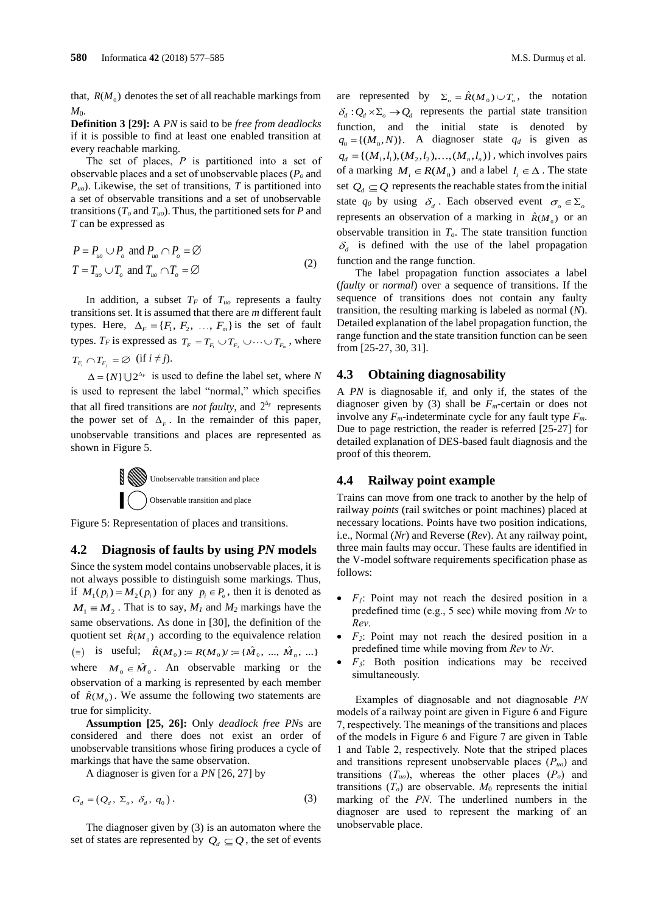that,  $R(M_0)$  denotes the set of all reachable markings from  $M_{0}$ .

**Definition 3 [29]:** A *PN* is said to be *free from deadlocks* if it is possible to find at least one enabled transition at every reachable marking.

The set of places, *P* is partitioned into a set of observable places and a set of unobservable places (*P<sup>o</sup>* and *Puo*). Likewise, the set of transitions, *T* is partitioned into a set of observable transitions and a set of unobservable transitions ( $T_o$  and  $T_{uo}$ ). Thus, the partitioned sets for *P* and *T* can be expressed as

$$
P = P_{uo} \cup P_o \text{ and } P_{uo} \cap P_o = \varnothing
$$
  
\n
$$
T = T_{uo} \cup T_o \text{ and } T_{uo} \cap T_o = \varnothing
$$
 (2)

In addition, a subset  $T_F$  of  $T_{uo}$  represents a faulty transitions set. It is assumed that there are *m* different fault types. Here,  $\Delta_F = \{F_1, F_2, \dots, F_m\}$  is the set of fault types. *T<sub>F</sub>* is expressed as  $T_F = T_{F_1} \cup T_{F_2} \cup \cdots \cup T_{F_m}$ , where  $T_{F_i} \cap T_{F_j} = \varnothing$  (if  $i \neq j$ ).

 $\Delta = \{N\} \cup 2^{\Delta_F}$  is used to define the label set, where N is used to represent the label "normal," which specifies that all fired transitions are *not faulty*, and  $2^{\Delta_F}$  represents the power set of  $\Delta_F$ . In the remainder of this paper, unobservable transitions and places are represented as shown in Figure 5.



Figure 5: Representation of places and transitions.

#### **4.2 Diagnosis of faults by using** *PN* **models**

Since the system model contains unobservable places, it is not always possible to distinguish some markings. Thus, if  $M_1(p_i) = M_2(p_i)$  for any  $p_i \in P_o$ , then it is denoted as  $M_1 \equiv M_2$ . That is to say,  $M_1$  and  $M_2$  markings have the same observations. As done in [30], the definition of the quotient set  $\hat{R}(M_0)$  according to the equivalence relation  $(\equiv)$  is useful;  $\hat{R}(M_0) := R(M_0) / \cdots = {\hat{M}_0, ..., \hat{M}_n, ...}$ where  $M_0 \in \hat{M}_0$ . An observable marking or the observation of a marking is represented by each member of  $\hat{R}(M_0)$ . We assume the following two statements are true for simplicity.

**Assumption [25, 26]:** Only *deadlock free PN*s are considered and there does not exist an order of unobservable transitions whose firing produces a cycle of markings that have the same observation.

A diagnoser is given for a *PN* [26, 27] by

$$
G_d = (Q_d, \Sigma_o, \delta_d, q_0). \tag{3}
$$

The diagnoser given by (3) is an automaton where the set of states are represented by  $Q_d \subseteq Q$ , the set of events

are represented by  $\Sigma_o = \hat{R}(M_o) \cup T_o$ , the notation  $\delta_d$ :  $Q_d \times \Sigma_o \rightarrow Q_d$  represents the partial state transition function, and the initial state is denoted by  $q_0 = \{(M_0, N)\}\text{.}$  A diagnoser state  $q_d$  is given as  $q_d = \{(M_1, l_1), (M_2, l_2), \ldots, (M_n, l_n)\}\$ , which involves pairs of a marking  $M_i \in R(M_0)$  and a label  $l_i \in \Delta$ . The state set  $Q_d \subseteq Q$  represents the reachable states from the initial state  $q_0$  by using  $\delta_d$ . Each observed event  $\sigma_o \in \Sigma_d$ represents an observation of a marking in  $\hat{R}(M_0)$  or an observable transition in *To*. The state transition function  $\delta_d$  is defined with the use of the label propagation function and the range function.

The label propagation function associates a label (*faulty* or *normal*) over a sequence of transitions. If the sequence of transitions does not contain any faulty transition, the resulting marking is labeled as normal (*N*). Detailed explanation of the label propagation function, the range function and the state transition function can be seen from [25-27, 30, 31].

#### **4.3 Obtaining diagnosability**

A *PN* is diagnosable if, and only if, the states of the diagnoser given by (3) shall be *Fm*-certain or does not involve any  $F_m$ -indeterminate cycle for any fault type  $F_m$ . Due to page restriction, the reader is referred [25-27] for detailed explanation of DES-based fault diagnosis and the proof of this theorem.

#### **4.4 Railway point example**

Trains can move from one track to another by the help of railway *points* (rail switches or point machines) placed at necessary locations. Points have two position indications, i.e., Normal (*Nr*) and Reverse (*Rev*). At any railway point, three main faults may occur. These faults are identified in the V-model software requirements specification phase as follows:

- *F1*: Point may not reach the desired position in a predefined time (e.g., 5 sec) while moving from *Nr* to *Rev*.
- *F2*: Point may not reach the desired position in a predefined time while moving from *Rev* to *Nr*.
- *F3*: Both position indications may be received simultaneously.

Examples of diagnosable and not diagnosable *PN* models of a railway point are given in Figure 6 and Figure 7, respectively. The meanings of the transitions and places of the models in Figure 6 and Figure 7 are given in Table 1 and Table 2, respectively. Note that the striped places and transitions represent unobservable places (*Puo*) and transitions  $(T_{uo})$ , whereas the other places  $(P_o)$  and transitions  $(T_o)$  are observable.  $M_0$  represents the initial marking of the *PN*. The underlined numbers in the diagnoser are used to represent the marking of an unobservable place.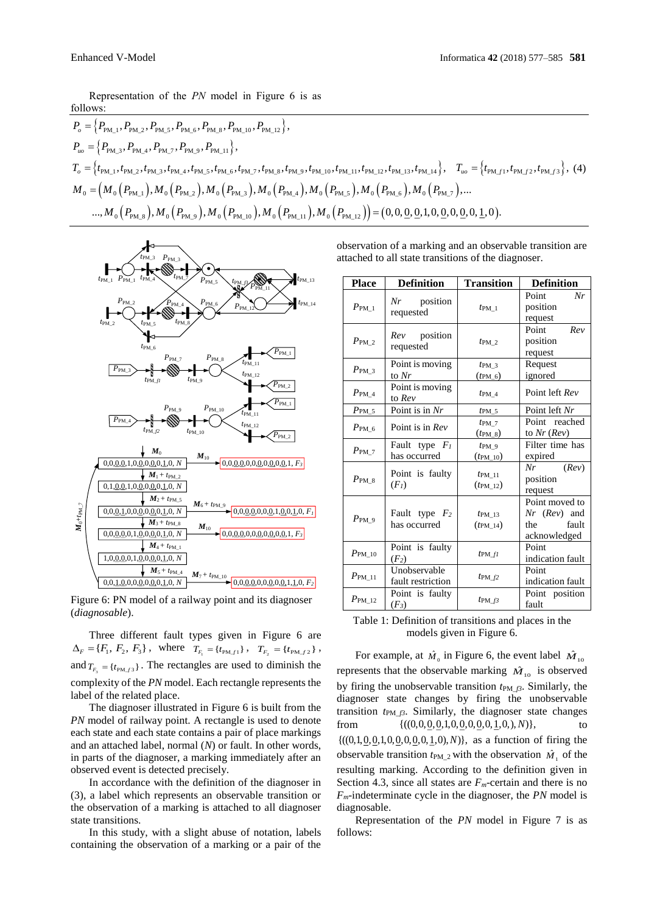Representation of the *PN* model in Figure 6 is as follows:

$$
P_{o} = \{P_{\text{PM\_1}}, P_{\text{PM\_2}}, P_{\text{PM\_5}}, P_{\text{PM\_6}}, P_{\text{PM\_8}}, P_{\text{PM\_10}}, P_{\text{PM\_12}}\},\
$$
  
\n
$$
P_{uo} = \{P_{\text{PM\_3}}, P_{\text{PM\_4}}, P_{\text{PM\_7}}, P_{\text{PM\_9}}, P_{\text{PM\_11}}\},
$$
  
\n
$$
T_{o} = \{t_{\text{PM\_1}}, t_{\text{PM\_2}}, t_{\text{PM\_3}}, t_{\text{PM\_4}}, t_{\text{PM\_5}}, t_{\text{PM\_6}}, t_{\text{PM\_7}}, t_{\text{PM\_8}}, t_{\text{PM\_9}}, t_{\text{PM\_10}}, t_{\text{PM\_11}}, t_{\text{PM\_12}}, t_{\text{PM\_13}}, t_{\text{PM\_14}}\},
$$
  
\n
$$
T_{uo} = \{M_{0}(P_{\text{PM\_1}}), M_{0}(P_{\text{PM\_2}}), M_{0}(P_{\text{PM\_3}}), M_{0}(P_{\text{PM\_4}}), M_{0}(P_{\text{PM\_5}}), M_{0}(P_{\text{PM\_6}}), M_{0}(P_{\text{PM\_7}}),...
$$
  
\n
$$
..., M_{0}(P_{\text{PM\_8}}), M_{0}(P_{\text{PM\_9}}), M_{0}(P_{\text{PM\_10}}), M_{0}(P_{\text{PM\_11}}), M_{0}(P_{\text{PM\_12}})\} = (0, 0, 0, 0, 0, 0, 0, 0, 0, 0, 1, 0).
$$



Figure 6: PN model of a railway point and its diagnoser (*diagnosable*).

Three different fault types given in Figure 6 are  $\Delta_F = \{F_1, F_2, F_3\}, \text{ where } T_{F_1} = \{t_{PM\_1}\}, T_{F_2} = \{t_{PM\_2}\},$ and  $T_{F_3} = \{t_{PMf3}\}\$ . The rectangles are used to diminish the complexity of the *PN* model. Each rectangle represents the label of the related place.

The diagnoser illustrated in Figure 6 is built from the *PN* model of railway point. A rectangle is used to denote each state and each state contains a pair of place markings and an attached label, normal (*N*) or fault. In other words, in parts of the diagnoser, a marking immediately after an observed event is detected precisely.

In accordance with the definition of the diagnoser in (3), a label which represents an observable transition or the observation of a marking is attached to all diagnoser state transitions.

In this study, with a slight abuse of notation, labels containing the observation of a marking or a pair of the

observation of a marking and an observable transition are attached to all state transitions of the diagnoser.

| <b>Place</b>        | <b>Definition</b>                    | <b>Transition</b>                         | <b>Definition</b>                                                |
|---------------------|--------------------------------------|-------------------------------------------|------------------------------------------------------------------|
| $P_{\rm PM~1}$      | $Nr$ position<br>requested           | $t_{\text{PM}1}$                          | Point<br>Nr<br>position<br>request                               |
| $P_{\rm PM, 2}$     | <i>Rev</i> position<br>requested     | $t_{\rm PM}$ 2                            | Point<br>Rev<br>position<br>request                              |
| $P_{\text{PM }3}$   | Point is moving<br>to Nr             | $t_{\text{PM}}$ 3<br>$(t_{\text{PM\_6}})$ | Request<br>ignored                                               |
| $P_{\rm PM}$ 4      | Point is moving<br>to Rev            | $t_{\text{PM}4}$                          | Point left Rev                                                   |
| $P_{\text{PM }5}$   | Point is in Nr                       | $t_{\text{PM\_5}}$                        | Point left Nr                                                    |
| $P_{\rm PM}$ 6      | Point is in Rev                      | $t_{PM}$ 7<br>$(t_{\rm PM\_8})$           | Point reached<br>to $Nr$ ( $Rev$ )                               |
| $P_{\rm PM}$ 7      | Fault type $F_I$<br>has occurred     | $tpM_9$<br>$(t_{\text{PM\_10}})$          | Filter time has<br>expired                                       |
| $P_{\rm PM}$ 8      | Point is faulty<br>(F <sub>I</sub> ) | $tpM$ 11<br>$(t_{\rm PM 12})$             | (Rev)<br>Nr<br>position<br>request                               |
| $P_{\text{PM}}$ 9   | Fault type $F_2$<br>has occurred     | $t$ PM 13<br>$(t_{\rm PM\ 14})$           | Point moved to<br>$Nr$ (Rev) and<br>fault<br>the<br>acknowledged |
| $P_{\rm PM~10}$     | Point is faulty<br>$(F_2)$           | $t_{PMfl}$                                | Point<br>indication fault                                        |
| $P_{\rm PM\_11}$    | Unobservable<br>fault restriction    | $tpM_f2$                                  | Point<br>indication fault                                        |
| $P_{\text{PM\_12}}$ | Point is faulty<br>$(F_3)$           | $t_{\text{PM}}$ $_{f3}$                   | Point position<br>fault                                          |

Table 1: Definition of transitions and places in the models given in Figure 6.

For example, at  $\hat{M}_0$  in Figure 6, the event label  $\hat{M}_{10}$ represents that the observable marking  $\hat{M}_{10}$  is observed by firing the unobservable transition  $t_{PM\_f3}$ . Similarly, the diagnoser state changes by firing the unobservable transition  $t_{PM\beta}$ . Similarly, the diagnoser state changes from  ${((0,0,0,0,1,0,0,0,0,0,1,0,), N)},$ to  ${((0,1,0,0,1,0,0,0,0,0,1,0), N)}$ , as a function of firing the observable transition  $t_{\text{PM}_2}$  with the observation  $\hat{M}_1$  of the resulting marking. According to the definition given in Section 4.3, since all states are  $F_m$ -certain and there is no *Fm*-indeterminate cycle in the diagnoser, the *PN* model is diagnosable.

Representation of the *PN* model in Figure 7 is as follows: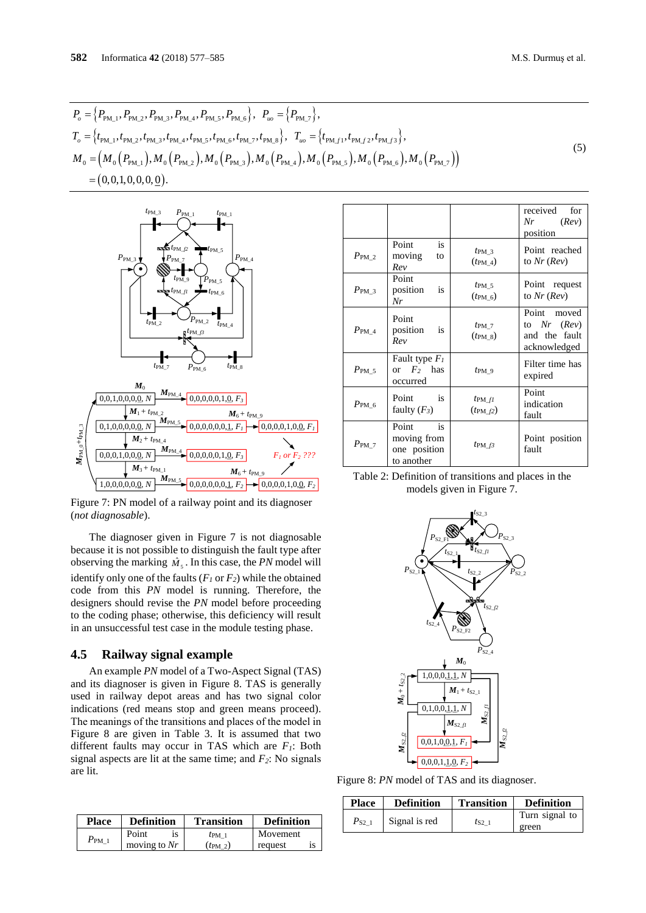$$
P_o = \{P_{\text{PM\_1}}, P_{\text{PM\_2}}, P_{\text{PM\_3}}, P_{\text{PM\_4}}, P_{\text{PM\_5}}, P_{\text{PM\_6}}\}, P_w = \{P_{\text{PM\_7}}\},
$$
  
\n
$$
T_o = \{t_{\text{PM\_1}}, t_{\text{PM\_2}}, t_{\text{PM\_3}}, t_{\text{PM\_4}}, t_{\text{PM\_5}}, t_{\text{PM\_6}}, t_{\text{PM\_7}}, t_{\text{PM\_8}}\}, T_w = \{t_{\text{PM\_1}}, t_{\text{PM\_2}}, t_{\text{PM\_13}}\},
$$
  
\n
$$
M_o = (M_o(P_{\text{PM\_1}}), M_o(P_{\text{PM\_2}}), M_o(P_{\text{PM\_3}}), M_o(P_{\text{PM\_4}}), M_o(P_{\text{PM\_5}}), M_o(P_{\text{PM\_6}}), M_o(P_{\text{PM\_6}}))
$$
  
\n
$$
= (0, 0, 1, 0, 0, 0, 0, 0).
$$
  
\n(5)



Figure 7: PN model of a railway point and its diagnoser (*not diagnosable*).

The diagnoser given in Figure 7 is not diagnosable because it is not possible to distinguish the fault type after observing the marking  $\hat{M}_s$ . In this case, the *PN* model will identify only one of the faults  $(F<sub>1</sub>$  or  $F<sub>2</sub>)$  while the obtained code from this *PN* model is running. Therefore, the designers should revise the *PN* model before proceeding to the coding phase; otherwise, this deficiency will result in an unsuccessful test case in the module testing phase.

#### **4.5 Railway signal example**

An example *PN* model of a Two-Aspect Signal (TAS) and its diagnoser is given in Figure 8. TAS is generally used in railway depot areas and has two signal color indications (red means stop and green means proceed). The meanings of the transitions and places of the model in Figure 8 are given in Table 3. It is assumed that two different faults may occur in TAS which are *F1*: Both signal aspects are lit at the same time; and *F2*: No signals are lit.

| <b>Place</b> | <b>Definition</b> | <b>Transition</b> | <b>Definition</b> |
|--------------|-------------------|-------------------|-------------------|
| $P_{\rm PM}$ | Point             | $t_{\text{PM}1}$  | Movement          |
|              | moving to $Nr$    | $(t_{\rm PM\ 2})$ | request           |

|                   |                                                              |                                        | received<br>for<br>Nr<br>(Rev)<br>position                      |
|-------------------|--------------------------------------------------------------|----------------------------------------|-----------------------------------------------------------------|
| $P_{\rm PM, 2}$   | Point<br>is<br>moving<br>to<br>Rev                           | $t_{\rm PM}$ 3<br>$(t_{\rm PM\ 4})$    | Point reached<br>to $Nr$ ( $Rev$ )                              |
| $P_{\text{PM }3}$ | Point<br>position<br>is<br>Nr                                | $t_{\text{PM}}$ 5<br>$(t_{\rm PM\ 6})$ | Point request<br>to $Nr$ ( $Rev$ )                              |
| $P_{\rm PM, 4}$   | Point<br>position<br>is<br>Rev                               | $t_{\text{PM}}$ 7<br>$(t_{\rm PM\ 8})$ | Point moved<br>to $Nr$ $(Rev)$<br>and the fault<br>acknowledged |
| $P_{\text{PM }5}$ | Fault type $F_I$<br>or $F_2$ has<br>occurred                 | $tpM_9$                                | Filter time has<br>expired                                      |
| $P_{\rm PM}$ 6    | $\overline{\textbf{1}}\textbf{s}$<br>Point<br>faulty $(F_3)$ | $t_{PMfl}$<br>$(t_{\text{PM$\_f2}})$   | Point<br>indication<br>fault                                    |
| $P_{\rm PM}$ 7    | Point<br>is<br>moving from<br>one position<br>to another     | $t_{\text{PM}}$ $f3$                   | Point position<br>fault                                         |

Table 2: Definition of transitions and places in the models given in Figure 7.



Figure 8: *PN* model of TAS and its diagnoser.

| <b>Place</b> | <b>Definition</b> | <b>Transition</b> | <b>Definition</b> |
|--------------|-------------------|-------------------|-------------------|
| $P_{S2}$ 1   | Signal is red     |                   | Turn signal to    |
|              |                   | $t_{S2}$ 1        | green             |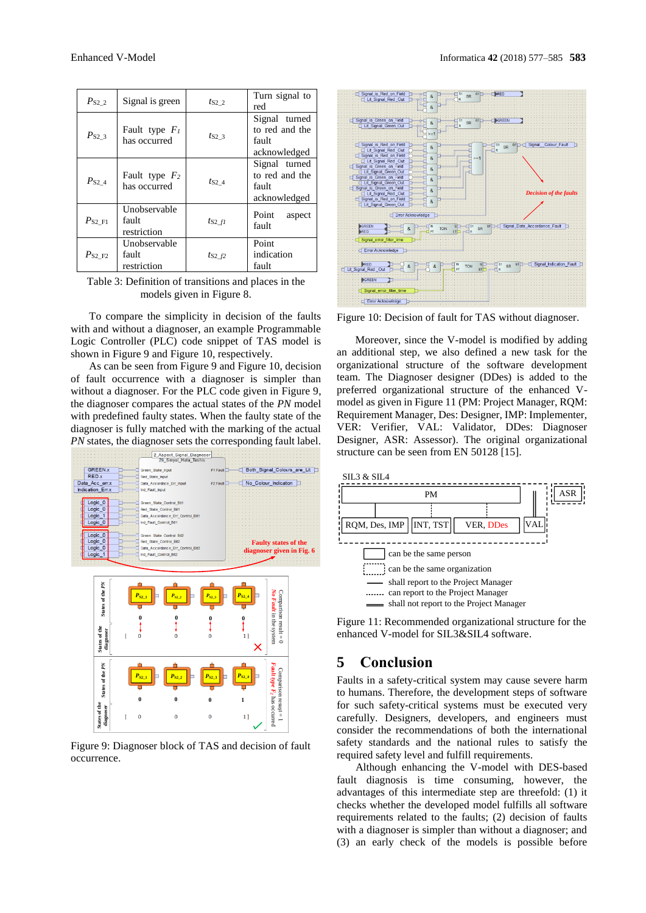| $P_{S2}$ 2  | Signal is green                      | $t_{S2}$ 2       | Turn signal to<br>red                                    |
|-------------|--------------------------------------|------------------|----------------------------------------------------------|
| $P_{S2}$ 3  | Fault type $F_I$<br>has occurred     | $t_{S2}$ 3       | Signal turned<br>to red and the<br>fault<br>acknowledged |
| $P_{S2_4}$  | Fault type $F_2$<br>has occurred     | $t_{S2}$ 4       | Signal turned<br>to red and the<br>fault<br>acknowledged |
| $P_{S2F1}$  | Unobservable<br>fault<br>restriction | ts2 fl           | Point<br>aspect<br>fault                                 |
| $P_{S2 F2}$ | Unobservable<br>fault<br>restriction | $t_{S2}$ $_{f2}$ | Point<br>indication<br>fault                             |

Table 3: Definition of transitions and places in the models given in Figure 8.

To compare the simplicity in decision of the faults with and without a diagnoser, an example Programmable Logic Controller (PLC) code snippet of TAS model is shown in Figure 9 and Figure 10, respectively.

As can be seen from Figure 9 and Figure 10, decision of fault occurrence with a diagnoser is simpler than without a diagnoser. For the PLC code given in Figure 9, the diagnoser compares the actual states of the *PN* model with predefined faulty states. When the faulty state of the diagnoser is fully matched with the marking of the actual *PN* states, the diagnoser sets the corresponding fault label.



Figure 9: Diagnoser block of TAS and decision of fault occurrence.



Figure 10: Decision of fault for TAS without diagnoser.

Moreover, since the V-model is modified by adding an additional step, we also defined a new task for the organizational structure of the software development team. The Diagnoser designer (DDes) is added to the preferred organizational structure of the enhanced Vmodel as given in Figure 11 (PM: Project Manager, RQM: Requirement Manager, Des: Designer, IMP: Implementer, VER: Verifier, VAL: Validator, DDes: Diagnoser Designer, ASR: Assessor). The original organizational structure can be seen from EN 50128 [15].



Figure 11: Recommended organizational structure for the enhanced V-model for SIL3&SIL4 software.

## **5 Conclusion**

Faults in a safety-critical system may cause severe harm to humans. Therefore, the development steps of software for such safety-critical systems must be executed very carefully. Designers, developers, and engineers must consider the recommendations of both the international safety standards and the national rules to satisfy the required safety level and fulfill requirements.

Although enhancing the V-model with DES-based fault diagnosis is time consuming, however, the advantages of this intermediate step are threefold: (1) it checks whether the developed model fulfills all software requirements related to the faults; (2) decision of faults with a diagnoser is simpler than without a diagnoser; and (3) an early check of the models is possible before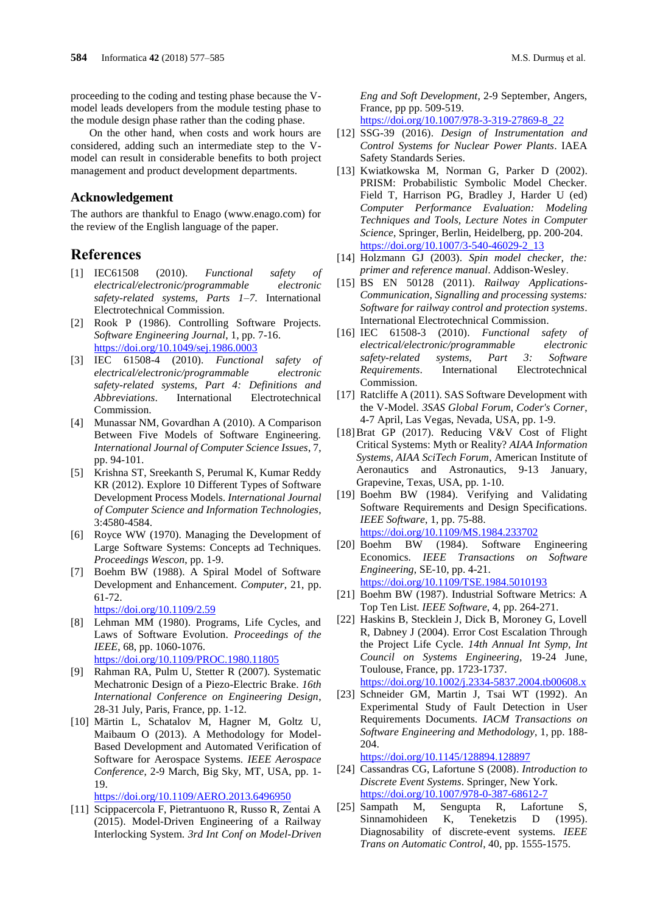proceeding to the coding and testing phase because the Vmodel leads developers from the module testing phase to the module design phase rather than the coding phase.

On the other hand, when costs and work hours are considered, adding such an intermediate step to the Vmodel can result in considerable benefits to both project management and product development departments.

#### **Acknowledgement**

The authors are thankful to Enago (www.enago.com) for the review of the English language of the paper.

## **References**

- [1] IEC61508 (2010). *Functional safety of electrical/electronic/programmable electronic safety-related systems, Parts 1–7*. International Electrotechnical Commission.
- [2] Rook P (1986). Controlling Software Projects. *Software Engineering Journal*, 1, pp. 7-16. <https://doi.org/10.1049/sej.1986.0003>
- [3] IEC 61508-4 (2010). *Functional safety of electrical/electronic/programmable electronic safety-related systems, Part 4: Definitions and Abbreviations*. International Electrotechnical Commission.
- [4] Munassar NM, Govardhan A (2010). A Comparison Between Five Models of Software Engineering. *International Journal of Computer Science Issues*, 7, pp. 94-101.
- [5] Krishna ST, Sreekanth S, Perumal K, Kumar Reddy KR (2012). Explore 10 Different Types of Software Development Process Models. *International Journal of Computer Science and Information Technologies*, 3:4580-4584.
- [6] Royce WW (1970). Managing the Development of Large Software Systems: Concepts ad Techniques. *Proceedings Wescon*, pp. 1-9.
- [7] Boehm BW (1988). A Spiral Model of Software Development and Enhancement. *Computer*, 21, pp. 61-72.

<https://doi.org/10.1109/2.59>

- [8] Lehman MM (1980). Programs, Life Cycles, and Laws of Software Evolution. *Proceedings of the IEEE*, 68, pp. 1060-1076. <https://doi.org/10.1109/PROC.1980.11805>
- [9] Rahman RA, Pulm U, Stetter R (2007). Systematic Mechatronic Design of a Piezo-Electric Brake. *16th International Conference on Engineering Design*, 28-31 July, Paris, France, pp. 1-12.
- [10] Märtin L, Schatalov M, Hagner M, Goltz U, Maibaum O (2013). A Methodology for Model-Based Development and Automated Verification of Software for Aerospace Systems. *IEEE Aerospace Conference*, 2-9 March, Big Sky, MT, USA, pp. 1- 19.

<https://doi.org/10.1109/AERO.2013.6496950>

[11] Scippacercola F, Pietrantuono R, Russo R, Zentai A (2015). Model-Driven Engineering of a Railway Interlocking System. *3rd Int Conf on Model-Driven*  *Eng and Soft Development*, 2-9 September, Angers, France, pp pp. 509-519.

[https://doi.org/10.1007/978-3-319-27869-8\\_22](https://doi.org/10.1007/978-3-319-27869-8_22)

- [12] SSG-39 (2016). *Design of Instrumentation and Control Systems for Nuclear Power Plants*. IAEA Safety Standards Series.
- [13] Kwiatkowska M, Norman G, Parker D (2002). PRISM: Probabilistic Symbolic Model Checker. Field T, Harrison PG, Bradley J, Harder U (ed) *Computer Performance Evaluation: Modeling Techniques and Tools, Lecture Notes in Computer Science*, Springer, Berlin, Heidelberg, pp. 200-204. [https://doi.org/10.1007/3-540-46029-2\\_13](https://doi.org/10.1007/3-540-46029-2_13)
- [14] Holzmann GJ (2003). *Spin model checker, the: primer and reference manual*. Addison-Wesley.
- [15] BS EN 50128 (2011). *Railway Applications-Communication, Signalling and processing systems: Software for railway control and protection systems*. International Electrotechnical Commission.
- [16] IEC 61508-3 (2010). *Functional safety of electrical/electronic/programmable electronic safety-related systems, Part 3: Software Requirements*. International Electrotechnical Commission.
- [17] Ratcliffe A (2011). SAS Software Development with the V-Model. *3SAS Global Forum, Coder's Corner*, 4-7 April, Las Vegas, Nevada, USA, pp. 1-9.
- [18]Brat GP (2017). Reducing V&V Cost of Flight Critical Systems: Myth or Reality? *AIAA Information Systems, AIAA SciTech Forum*, American Institute of Aeronautics and Astronautics, 9-13 January, Grapevine, Texas, USA, pp. 1-10.
- [19] Boehm BW (1984). Verifying and Validating Software Requirements and Design Specifications. *IEEE Software*, 1, pp. 75-88. <https://doi.org/10.1109/MS.1984.233702>
- [20] Boehm BW (1984). Software Engineering Economics. *IEEE Transactions on Software Engineering*, SE-10, pp. 4-21. <https://doi.org/10.1109/TSE.1984.5010193>
- [21] Boehm BW (1987). Industrial Software Metrics: A Top Ten List. *IEEE Software*, 4, pp. 264-271.
- [22] Haskins B, Stecklein J, Dick B, Moroney G, Lovell R, Dabney J (2004). Error Cost Escalation Through the Project Life Cycle. *14th Annual Int Symp, Int Council on Systems Engineering*, 19-24 June, Toulouse, France, pp. 1723-1737. <https://doi.org/10.1002/j.2334-5837.2004.tb00608.x>
- [23] Schneider GM, Martin J, Tsai WT (1992). An Experimental Study of Fault Detection in User Requirements Documents. *IACM Transactions on Software Engineering and Methodology*, 1, pp. 188- 204.

<https://doi.org/10.1145/128894.128897>

- [24] Cassandras CG, Lafortune S (2008). *Introduction to Discrete Event Systems*. Springer, New York. <https://doi.org/10.1007/978-0-387-68612-7>
- [25] Sampath M, Sengupta R, Lafortune S, Sinnamohideen K, Teneketzis D (1995). Diagnosability of discrete-event systems. *IEEE Trans on Automatic Control*, 40, pp. 1555-1575.